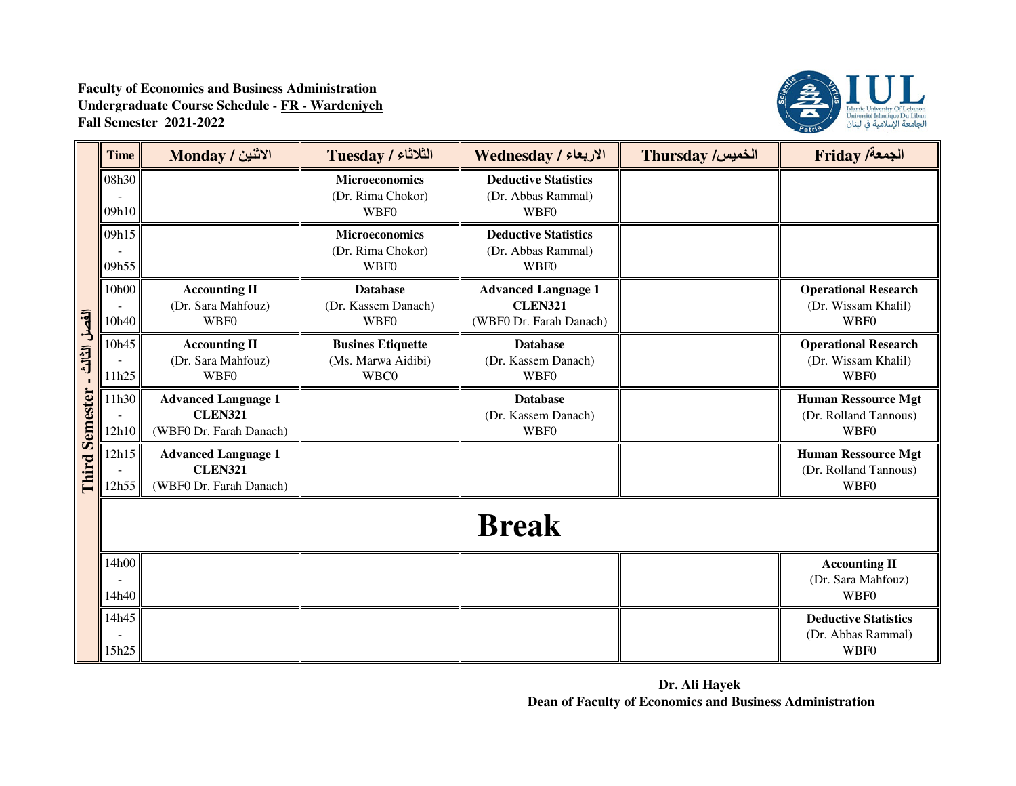

|                                       | <b>Time</b>    | الاثنين / Monday                                                        | الثلاثاء / Tuesday                                     | الاربعاء / Wednesday                                                    | <b>Thursday /الخميس</b> | <b>Friday /خمعة</b> /                                             |
|---------------------------------------|----------------|-------------------------------------------------------------------------|--------------------------------------------------------|-------------------------------------------------------------------------|-------------------------|-------------------------------------------------------------------|
| الفصل الثالث<br><b>Third Semester</b> | 08h30<br>09h10 |                                                                         | <b>Microeconomics</b><br>(Dr. Rima Chokor)<br>WBF0     | <b>Deductive Statistics</b><br>(Dr. Abbas Rammal)<br>WBF0               |                         |                                                                   |
|                                       | 09h15<br>09h55 |                                                                         | <b>Microeconomics</b><br>(Dr. Rima Chokor)<br>WBF0     | <b>Deductive Statistics</b><br>(Dr. Abbas Rammal)<br><b>WBF0</b>        |                         |                                                                   |
|                                       | 10h00<br>10h40 | <b>Accounting II</b><br>(Dr. Sara Mahfouz)<br><b>WBF0</b>               | <b>Database</b><br>(Dr. Kassem Danach)<br>WBF0         | <b>Advanced Language 1</b><br><b>CLEN321</b><br>(WBF0 Dr. Farah Danach) |                         | <b>Operational Research</b><br>(Dr. Wissam Khalil)<br><b>WBF0</b> |
|                                       | 10h45<br>11h25 | <b>Accounting II</b><br>(Dr. Sara Mahfouz)<br>WBF0                      | <b>Busines Etiquette</b><br>(Ms. Marwa Aidibi)<br>WBC0 | <b>Database</b><br>(Dr. Kassem Danach)<br>WBF0                          |                         | <b>Operational Research</b><br>(Dr. Wissam Khalil)<br>WBF0        |
|                                       | 11h30<br>12h10 | <b>Advanced Language 1</b><br><b>CLEN321</b><br>(WBF0 Dr. Farah Danach) |                                                        | <b>Database</b><br>(Dr. Kassem Danach)<br>WBF0                          |                         | <b>Human Ressource Mgt</b><br>(Dr. Rolland Tannous)<br>WBF0       |
|                                       | 12h15<br>12h55 | <b>Advanced Language 1</b><br><b>CLEN321</b><br>(WBF0 Dr. Farah Danach) |                                                        |                                                                         |                         | <b>Human Ressource Mgt</b><br>(Dr. Rolland Tannous)<br>WBF0       |
|                                       |                |                                                                         |                                                        | <b>Break</b>                                                            |                         |                                                                   |
|                                       | 14h00<br>14h40 |                                                                         |                                                        |                                                                         |                         | <b>Accounting II</b><br>(Dr. Sara Mahfouz)<br><b>WBF0</b>         |
|                                       | 14h45<br>15h25 |                                                                         |                                                        |                                                                         |                         | <b>Deductive Statistics</b><br>(Dr. Abbas Rammal)<br>WBF0         |

**Dr. Ali Hayek Dean of Faculty of Economics and Business Administration**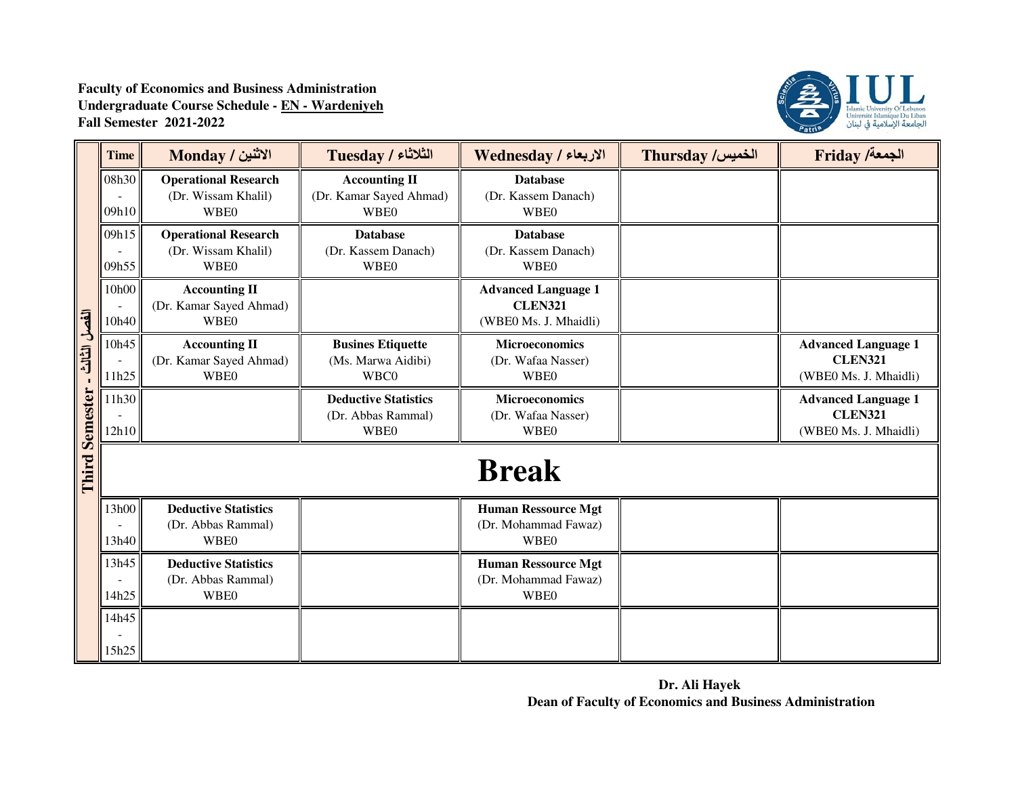

|                       | <b>Time</b>    | الاثنين / Monday                                                  | $Tuesday / 2$ الثلاثاء                                           | الاربعاء / Wednesday                                                  | <b>Thursday /الخميس</b> | <b>Friday /خمعة</b> /                                                 |
|-----------------------|----------------|-------------------------------------------------------------------|------------------------------------------------------------------|-----------------------------------------------------------------------|-------------------------|-----------------------------------------------------------------------|
|                       | 08h30<br>09h10 | <b>Operational Research</b><br>(Dr. Wissam Khalil)<br>WBE0        | <b>Accounting II</b><br>(Dr. Kamar Sayed Ahmad)<br><b>WBE0</b>   | <b>Database</b><br>(Dr. Kassem Danach)<br><b>WBE0</b>                 |                         |                                                                       |
|                       | 09h15<br>09h55 | <b>Operational Research</b><br>(Dr. Wissam Khalil)<br><b>WBE0</b> | <b>Database</b><br>(Dr. Kassem Danach)<br><b>WBE0</b>            | <b>Database</b><br>(Dr. Kassem Danach)<br><b>WBE0</b>                 |                         |                                                                       |
|                       | 10h00<br>10h40 | <b>Accounting II</b><br>(Dr. Kamar Sayed Ahmad)<br><b>WBE0</b>    |                                                                  | <b>Advanced Language 1</b><br><b>CLEN321</b><br>(WBE0 Ms. J. Mhaidli) |                         |                                                                       |
| الفصل الثالث          | 10h45<br>11h25 | <b>Accounting II</b><br>(Dr. Kamar Sayed Ahmad)<br><b>WBE0</b>    | <b>Busines Etiquette</b><br>(Ms. Marwa Aidibi)<br>WBC0           | <b>Microeconomics</b><br>(Dr. Wafaa Nasser)<br><b>WBE0</b>            |                         | <b>Advanced Language 1</b><br><b>CLEN321</b><br>(WBE0 Ms. J. Mhaidli) |
| <b>Third Semester</b> | 11h30<br>12h10 |                                                                   | <b>Deductive Statistics</b><br>(Dr. Abbas Rammal)<br><b>WBE0</b> | <b>Microeconomics</b><br>(Dr. Wafaa Nasser)<br><b>WBE0</b>            |                         | <b>Advanced Language 1</b><br><b>CLEN321</b><br>(WBE0 Ms. J. Mhaidli) |
|                       |                |                                                                   |                                                                  | <b>Break</b>                                                          |                         |                                                                       |
|                       | 13h00<br>13h40 | <b>Deductive Statistics</b><br>(Dr. Abbas Rammal)<br><b>WBE0</b>  |                                                                  | <b>Human Ressource Mgt</b><br>(Dr. Mohammad Fawaz)<br><b>WBE0</b>     |                         |                                                                       |
|                       | 13h45<br>14h25 | <b>Deductive Statistics</b><br>(Dr. Abbas Rammal)<br><b>WBE0</b>  |                                                                  | <b>Human Ressource Mgt</b><br>(Dr. Mohammad Fawaz)<br><b>WBE0</b>     |                         |                                                                       |
|                       | 14h45<br>15h25 |                                                                   |                                                                  |                                                                       |                         |                                                                       |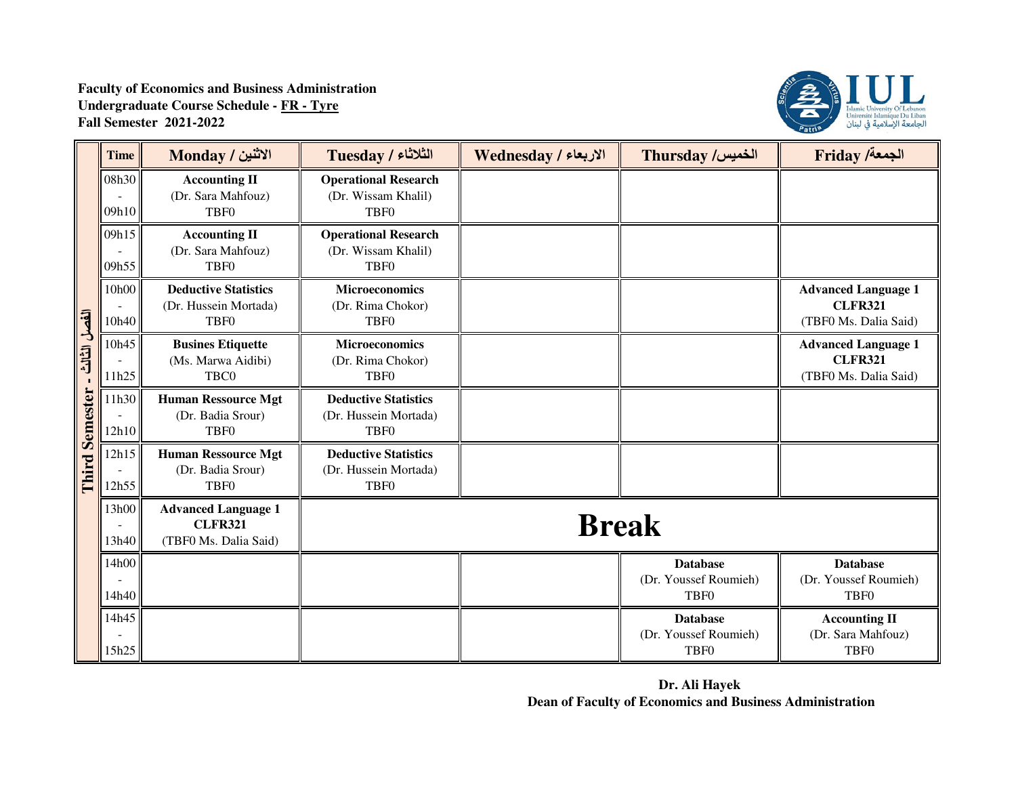## **Faculty of Economics and Business AdministrationUndergraduate Course Schedule - FR - TyreFall Semester 2021-2022**



|                       | <b>Time</b>    | الاثنين / Monday                                                         | <b>Tuesday / الثلاثاء</b>                                                | الاربعاء / Wednesday | <b>Thursday /الخميس</b>                                      | <b>Friday /خمعة</b> /                                                 |
|-----------------------|----------------|--------------------------------------------------------------------------|--------------------------------------------------------------------------|----------------------|--------------------------------------------------------------|-----------------------------------------------------------------------|
|                       | 08h30<br>09h10 | <b>Accounting II</b><br>(Dr. Sara Mahfouz)<br>TBF <sub>0</sub>           | <b>Operational Research</b><br>(Dr. Wissam Khalil)<br>TBF <sub>0</sub>   |                      |                                                              |                                                                       |
|                       | 09h15<br>09h55 | <b>Accounting II</b><br>(Dr. Sara Mahfouz)<br><b>TBF0</b>                | <b>Operational Research</b><br>(Dr. Wissam Khalil)<br>TBF <sub>0</sub>   |                      |                                                              |                                                                       |
|                       | 10h00<br>10h40 | <b>Deductive Statistics</b><br>(Dr. Hussein Mortada)<br>TBF <sub>0</sub> | <b>Microeconomics</b><br>(Dr. Rima Chokor)<br>TBF <sub>0</sub>           |                      |                                                              | <b>Advanced Language 1</b><br><b>CLFR321</b><br>(TBF0 Ms. Dalia Said) |
| الفصل الثالث          | 10h45<br>11h25 | <b>Busines Etiquette</b><br>(Ms. Marwa Aidibi)<br>TBC0                   | <b>Microeconomics</b><br>(Dr. Rima Chokor)<br>TBF <sub>0</sub>           |                      |                                                              | <b>Advanced Language 1</b><br><b>CLFR321</b><br>(TBF0 Ms. Dalia Said) |
| <b>Third Semester</b> | 11h30<br>12h10 | <b>Human Ressource Mgt</b><br>(Dr. Badia Srour)<br>TBF <sub>0</sub>      | <b>Deductive Statistics</b><br>(Dr. Hussein Mortada)<br>TBF <sub>0</sub> |                      |                                                              |                                                                       |
|                       | 12h15<br>12h55 | <b>Human Ressource Mgt</b><br>(Dr. Badia Srour)<br>TBF <sub>0</sub>      | <b>Deductive Statistics</b><br>(Dr. Hussein Mortada)<br>TBF <sub>0</sub> |                      |                                                              |                                                                       |
|                       | 13h00<br>13h40 | <b>Advanced Language 1</b><br><b>CLFR321</b><br>(TBF0 Ms. Dalia Said)    |                                                                          | <b>Break</b>         |                                                              |                                                                       |
|                       | 14h00<br>14h40 |                                                                          |                                                                          |                      | <b>Database</b><br>(Dr. Youssef Roumieh)<br>TBF <sub>0</sub> | <b>Database</b><br>(Dr. Youssef Roumieh)<br>TBF <sub>0</sub>          |
|                       | 14h45<br>15h25 |                                                                          |                                                                          |                      | <b>Database</b><br>(Dr. Youssef Roumieh)<br>TBF <sub>0</sub> | <b>Accounting II</b><br>(Dr. Sara Mahfouz)<br>TBF <sub>0</sub>        |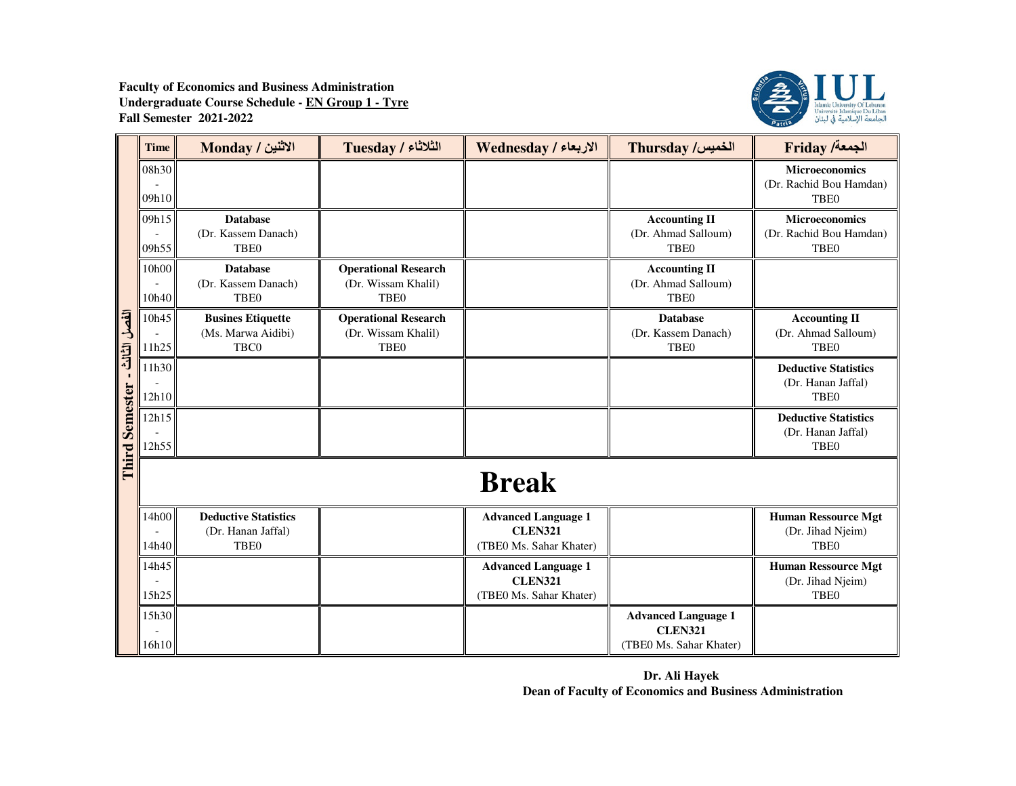

|                                      | <b>Time</b>    | الاثنين / Monday                                                      | Tuesday / الثلاثاء                                                     | الاربعاء / Wednesday                                                    | Thursday /الخميس                                                        | <b>Friday /خمعة/</b>                                                  |
|--------------------------------------|----------------|-----------------------------------------------------------------------|------------------------------------------------------------------------|-------------------------------------------------------------------------|-------------------------------------------------------------------------|-----------------------------------------------------------------------|
|                                      | 08h30<br>09h10 |                                                                       |                                                                        |                                                                         |                                                                         | <b>Microeconomics</b><br>(Dr. Rachid Bou Hamdan)<br><b>TBE0</b>       |
|                                      | 09h15<br>09h55 | <b>Database</b><br>(Dr. Kassem Danach)<br>TBE <sub>0</sub>            |                                                                        |                                                                         | <b>Accounting II</b><br>(Dr. Ahmad Salloum)<br>TBE <sub>0</sub>         | <b>Microeconomics</b><br>(Dr. Rachid Bou Hamdan)<br><b>TBE0</b>       |
|                                      | 10h00<br>10h40 | <b>Database</b><br>(Dr. Kassem Danach)<br><b>TBE0</b>                 | <b>Operational Research</b><br>(Dr. Wissam Khalil)<br>TBE <sub>0</sub> |                                                                         | <b>Accounting II</b><br>(Dr. Ahmad Salloum)<br>TBE <sub>0</sub>         |                                                                       |
|                                      | 10h45<br>11h25 | <b>Busines Etiquette</b><br>(Ms. Marwa Aidibi)<br>TBC0                | <b>Operational Research</b><br>(Dr. Wissam Khalil)<br><b>TBE0</b>      |                                                                         | <b>Database</b><br>(Dr. Kassem Danach)<br><b>TBE0</b>                   | <b>Accounting II</b><br>(Dr. Ahmad Salloum)<br>TBE <sub>0</sub>       |
| Third Semester - t <sup>hind</sup> F | 11h30<br>12h10 |                                                                       |                                                                        |                                                                         |                                                                         | <b>Deductive Statistics</b><br>(Dr. Hanan Jaffal)<br>TBE <sub>0</sub> |
|                                      | 12h15<br>12h55 |                                                                       |                                                                        |                                                                         |                                                                         | <b>Deductive Statistics</b><br>(Dr. Hanan Jaffal)<br><b>TBE0</b>      |
|                                      |                |                                                                       |                                                                        | <b>Break</b>                                                            |                                                                         |                                                                       |
|                                      | 14h00<br>14h40 | <b>Deductive Statistics</b><br>(Dr. Hanan Jaffal)<br>TBE <sub>0</sub> |                                                                        | <b>Advanced Language 1</b><br><b>CLEN321</b><br>(TBE0 Ms. Sahar Khater) |                                                                         | <b>Human Ressource Mgt</b><br>(Dr. Jihad Njeim)<br><b>TBE0</b>        |
|                                      | 14h45<br>15h25 |                                                                       |                                                                        | <b>Advanced Language 1</b><br><b>CLEN321</b><br>(TBE0 Ms. Sahar Khater) |                                                                         | <b>Human Ressource Mgt</b><br>(Dr. Jihad Njeim)<br>TBE <sub>0</sub>   |
|                                      | 15h30<br>16h10 |                                                                       |                                                                        |                                                                         | <b>Advanced Language 1</b><br><b>CLEN321</b><br>(TBE0 Ms. Sahar Khater) |                                                                       |

**Dr. Ali Hayek Dean of Faculty of Economics and Business Administration**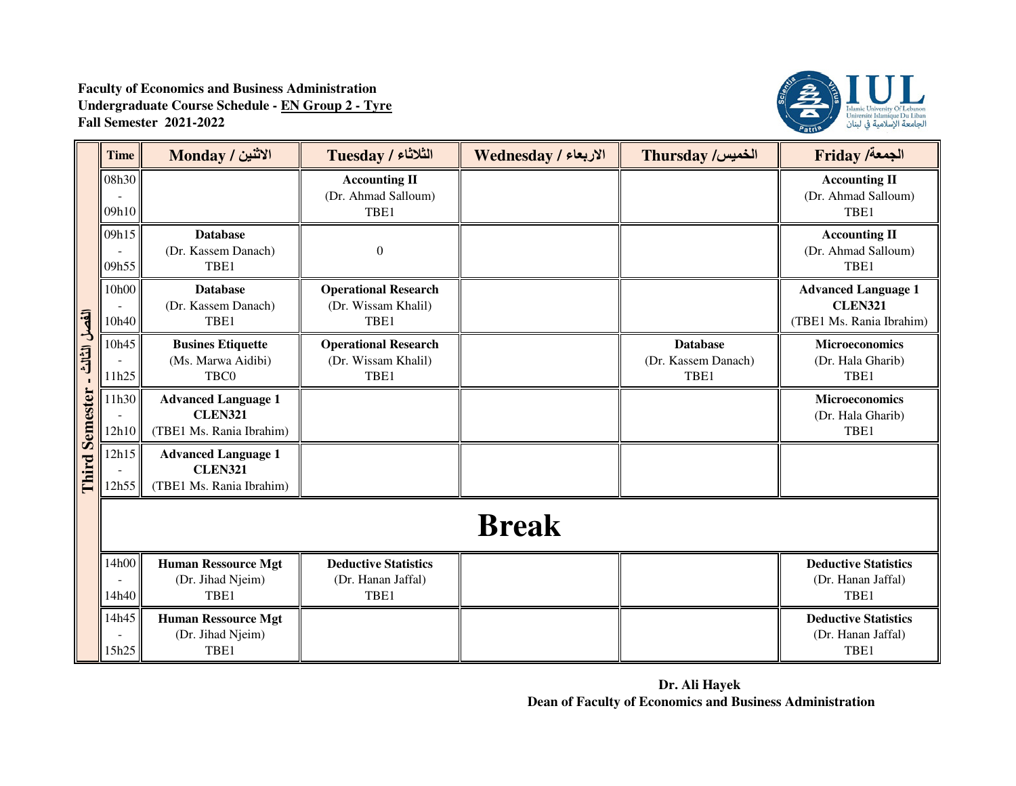

|                                       | <b>Time</b>    | الاثنين / Monday                                                         | <b>Tuesday / الثلاثاء</b>                                  | الاربعاء / Wednesday | Thursday /الخميس                               | <b>Friday /ألجمعة</b>                                                    |
|---------------------------------------|----------------|--------------------------------------------------------------------------|------------------------------------------------------------|----------------------|------------------------------------------------|--------------------------------------------------------------------------|
| الفصل الثالث<br><b>Third Semester</b> | 08h30<br>09h10 |                                                                          | <b>Accounting II</b><br>(Dr. Ahmad Salloum)<br>TBE1        |                      |                                                | <b>Accounting II</b><br>(Dr. Ahmad Salloum)<br>TBE1                      |
|                                       | 09h15<br>09h55 | <b>Database</b><br>(Dr. Kassem Danach)<br>TBE1                           | $\boldsymbol{0}$                                           |                      |                                                | <b>Accounting II</b><br>(Dr. Ahmad Salloum)<br>TBE1                      |
|                                       | 10h00<br>10h40 | <b>Database</b><br>(Dr. Kassem Danach)<br>TBE1                           | <b>Operational Research</b><br>(Dr. Wissam Khalil)<br>TBE1 |                      |                                                | <b>Advanced Language 1</b><br><b>CLEN321</b><br>(TBE1 Ms. Rania Ibrahim) |
|                                       | 10h45<br>11h25 | <b>Busines Etiquette</b><br>(Ms. Marwa Aidibi)<br>TBC0                   | <b>Operational Research</b><br>(Dr. Wissam Khalil)<br>TBE1 |                      | <b>Database</b><br>(Dr. Kassem Danach)<br>TBE1 | <b>Microeconomics</b><br>(Dr. Hala Gharib)<br>TBE1                       |
|                                       | 11h30<br>12h10 | <b>Advanced Language 1</b><br><b>CLEN321</b><br>(TBE1 Ms. Rania Ibrahim) |                                                            |                      |                                                | Microeconomics<br>(Dr. Hala Gharib)<br>TBE1                              |
|                                       | 12h15<br>12h55 | <b>Advanced Language 1</b><br><b>CLEN321</b><br>(TBE1 Ms. Rania Ibrahim) |                                                            |                      |                                                |                                                                          |
|                                       |                |                                                                          |                                                            | <b>Break</b>         |                                                |                                                                          |
|                                       | 14h00<br>14h40 | <b>Human Ressource Mgt</b><br>(Dr. Jihad Njeim)<br>TBE1                  | <b>Deductive Statistics</b><br>(Dr. Hanan Jaffal)<br>TBE1  |                      |                                                | <b>Deductive Statistics</b><br>(Dr. Hanan Jaffal)<br>TBE1                |
|                                       | 14h45<br>15h25 | <b>Human Ressource Mgt</b><br>(Dr. Jihad Njeim)<br>TBE1                  |                                                            |                      |                                                | <b>Deductive Statistics</b><br>(Dr. Hanan Jaffal)<br>TBE1                |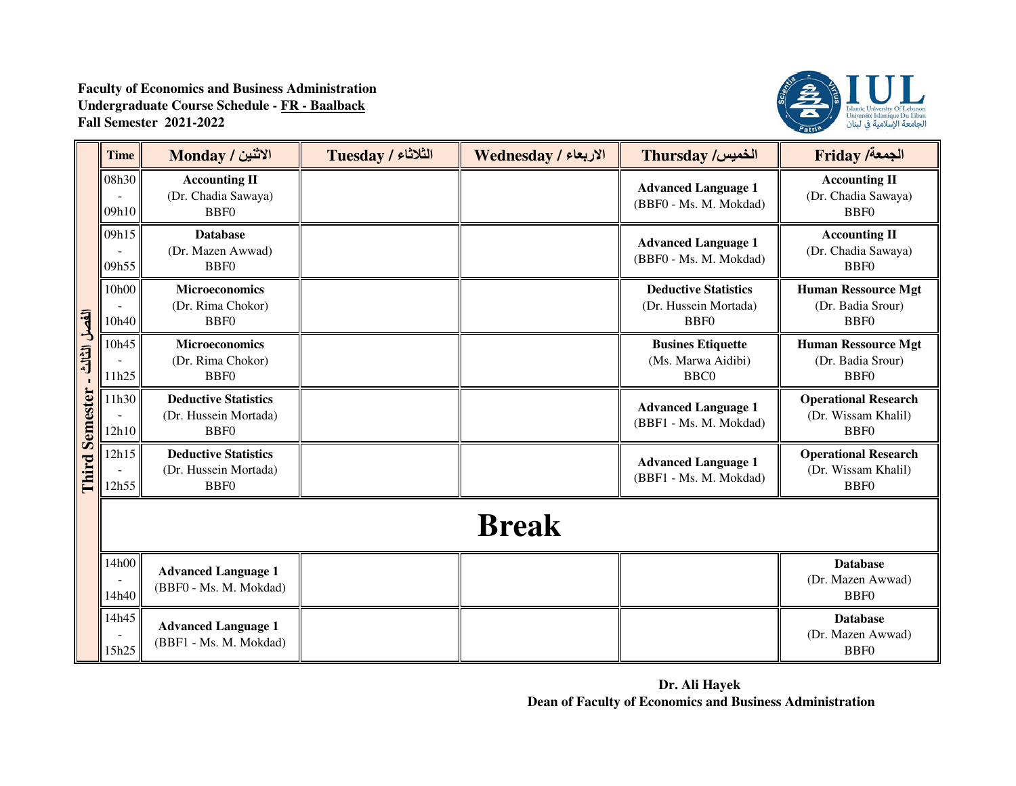

|                       | <b>Time</b>    | الاثنين / Monday                                                         | Tuesday / الثلاثاء | الاربعاء / Wednesday | Thursday /الخميس                                                    | <b>Friday /خمعة</b> /                                               |
|-----------------------|----------------|--------------------------------------------------------------------------|--------------------|----------------------|---------------------------------------------------------------------|---------------------------------------------------------------------|
|                       | 08h30<br>09h10 | <b>Accounting II</b><br>(Dr. Chadia Sawaya)<br><b>BBF0</b>               |                    |                      | <b>Advanced Language 1</b><br>(BBF0 - Ms. M. Mokdad)                | <b>Accounting II</b><br>(Dr. Chadia Sawaya)<br><b>BBF0</b>          |
|                       | 09h15<br>09h55 | <b>Database</b><br>(Dr. Mazen Awwad)<br>BBF <sub>0</sub>                 |                    |                      | <b>Advanced Language 1</b><br>(BBF0 - Ms. M. Mokdad)                | <b>Accounting II</b><br>(Dr. Chadia Sawaya)<br><b>BBF0</b>          |
|                       | 10h00<br>10h40 | <b>Microeconomics</b><br>(Dr. Rima Chokor)<br><b>BBF0</b>                |                    |                      | <b>Deductive Statistics</b><br>(Dr. Hussein Mortada)<br><b>BBF0</b> | <b>Human Ressource Mgt</b><br>(Dr. Badia Srour)<br><b>BBF0</b>      |
| الفصل الثالث          | 10h45<br>11h25 | <b>Microeconomics</b><br>(Dr. Rima Chokor)<br>BBF <sub>0</sub>           |                    |                      | <b>Busines Etiquette</b><br>(Ms. Marwa Aidibi)<br>BBC <sub>0</sub>  | <b>Human Ressource Mgt</b><br>(Dr. Badia Srour)<br>B <sub>BF0</sub> |
| <b>Third Semester</b> | 11h30<br>12h10 | <b>Deductive Statistics</b><br>(Dr. Hussein Mortada)<br>BBF <sub>0</sub> |                    |                      | <b>Advanced Language 1</b><br>(BBF1 - Ms. M. Mokdad)                | <b>Operational Research</b><br>(Dr. Wissam Khalil)<br><b>BBF0</b>   |
|                       | 12h15<br>12h55 | <b>Deductive Statistics</b><br>(Dr. Hussein Mortada)<br><b>BBF0</b>      |                    |                      | <b>Advanced Language 1</b><br>(BBF1 - Ms. M. Mokdad)                | <b>Operational Research</b><br>(Dr. Wissam Khalil)<br><b>BBF0</b>   |
|                       |                |                                                                          |                    | <b>Break</b>         |                                                                     |                                                                     |
|                       | 14h00<br>14h40 | <b>Advanced Language 1</b><br>(BBF0 - Ms. M. Mokdad)                     |                    |                      |                                                                     | <b>Database</b><br>(Dr. Mazen Awwad)<br><b>BBF0</b>                 |
|                       | 14h45<br>15h25 | <b>Advanced Language 1</b><br>(BBF1 - Ms. M. Mokdad)                     |                    |                      |                                                                     | <b>Database</b><br>(Dr. Mazen Awwad)<br><b>BBF0</b>                 |